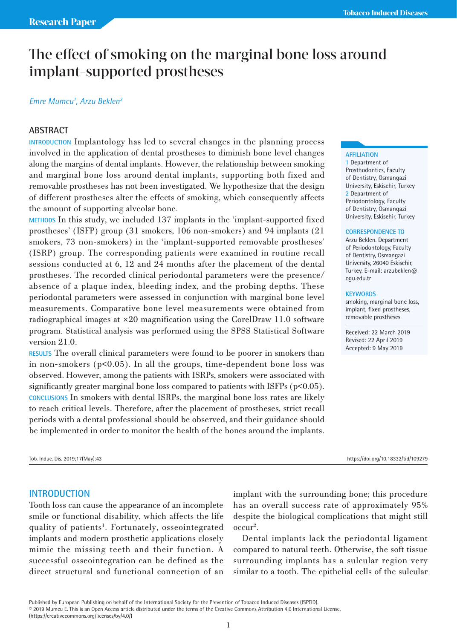# The effect of smoking on the marginal bone loss around implant-supported prostheses

#### *Emre Mumcu1 , Arzu Beklen2*

# **ABSTRACT**

**INTRODUCTION** Implantology has led to several changes in the planning process involved in the application of dental prostheses to diminish bone level changes along the margins of dental implants. However, the relationship between smoking and marginal bone loss around dental implants, supporting both fixed and removable prostheses has not been investigated. We hypothesize that the design of different prostheses alter the effects of smoking, which consequently affects the amount of supporting alveolar bone.

**METHODS** In this study, we included 137 implants in the 'implant-supported fixed prostheses' (ISFP) group (31 smokers, 106 non-smokers) and 94 implants (21 smokers, 73 non-smokers) in the 'implant-supported removable prostheses' (ISRP) group. The corresponding patients were examined in routine recall sessions conducted at 6, 12 and 24 months after the placement of the dental prostheses. The recorded clinical periodontal parameters were the presence/ absence of a plaque index, bleeding index, and the probing depths. These periodontal parameters were assessed in conjunction with marginal bone level measurements. Comparative bone level measurements were obtained from radiographical images at  $\times 20$  magnification using the CorelDraw 11.0 software program. Statistical analysis was performed using the SPSS Statistical Software version 21.0.

**RESULTS** The overall clinical parameters were found to be poorer in smokers than in non-smokers  $(p<0.05)$ . In all the groups, time-dependent bone loss was observed. However, among the patients with ISRPs, smokers were associated with significantly greater marginal bone loss compared to patients with ISFPs (p<0.05). **CONCLUSIONS** In smokers with dental ISRPs, the marginal bone loss rates are likely to reach critical levels. Therefore, after the placement of prostheses, strict recall periods with a dental professional should be observed, and their guidance should be implemented in order to monitor the health of the bones around the implants.

#### Tob. Induc. Dis. 2019;17(May):43 https://doi.org/10.18332/tid/109279

# **INTRODUCTION**

Tooth loss can cause the appearance of an incomplete smile or functional disability, which affects the life quality of patients<sup>1</sup>. Fortunately, osseointegrated implants and modern prosthetic applications closely mimic the missing teeth and their function. A successful osseointegration can be defined as the direct structural and functional connection of an

implant with the surrounding bone; this procedure has an overall success rate of approximately 95% despite the biological complications that might still occur2 .

Dental implants lack the periodontal ligament compared to natural teeth. Otherwise, the soft tissue surrounding implants has a sulcular region very similar to a tooth. The epithelial cells of the sulcular

#### **AFFILIATION**

1 Department of Prosthodontics, Faculty of Dentistry, Osmangazi University, Eskisehir, Turkey 2 Department of Periodontology, Faculty of Dentistry, Osmangazi University, Eskisehir, Turkey

#### **CORRESPONDENCE TO**

Arzu Beklen. Department of Periodontology, Faculty of Dentistry, Osmangazi University, 26040 Eskisehir, Turkey. E-mail: arzubeklen@ ogu.edu.tr

#### **KEYWORDS**

smoking, marginal bone loss, implant, fixed prostheses, removable prostheses

Received: 22 March 2019 Revised: 22 April 2019 Accepted: 9 May 2019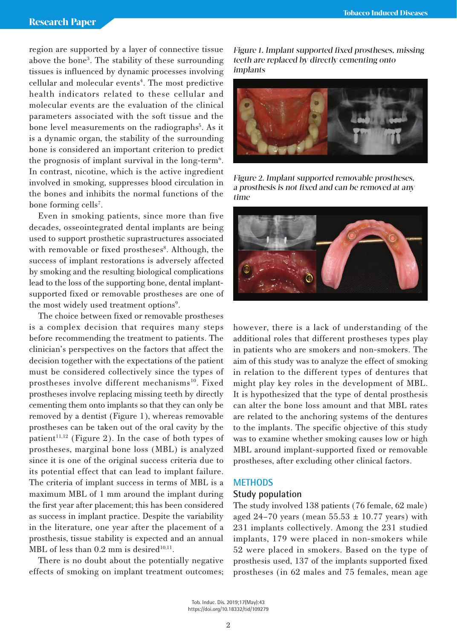region are supported by a layer of connective tissue above the bone3 . The stability of these surrounding tissues is influenced by dynamic processes involving cellular and molecular events<sup>4</sup>. The most predictive health indicators related to these cellular and molecular events are the evaluation of the clinical parameters associated with the soft tissue and the bone level measurements on the radiographs<sup>5</sup>. As it is a dynamic organ, the stability of the surrounding bone is considered an important criterion to predict the prognosis of implant survival in the long-term<sup>6</sup>. In contrast, nicotine, which is the active ingredient involved in smoking, suppresses blood circulation in the bones and inhibits the normal functions of the bone forming cells<sup>7</sup>.

Even in smoking patients, since more than five decades, osseointegrated dental implants are being used to support prosthetic suprastructures associated with removable or fixed prostheses<sup>8</sup>. Although, the success of implant restorations is adversely affected by smoking and the resulting biological complications lead to the loss of the supporting bone, dental implantsupported fixed or removable prostheses are one of the most widely used treatment options<sup>9</sup>.

The choice between fixed or removable prostheses is a complex decision that requires many steps before recommending the treatment to patients. The clinician's perspectives on the factors that affect the decision together with the expectations of the patient must be considered collectively since the types of prostheses involve different mechanisms<sup>10</sup>. Fixed prostheses involve replacing missing teeth by directly cementing them onto implants so that they can only be removed by a dentist (Figure 1), whereas removable prostheses can be taken out of the oral cavity by the patient<sup>11,12</sup> (Figure 2). In the case of both types of prostheses, marginal bone loss (MBL) is analyzed since it is one of the original success criteria due to its potential effect that can lead to implant failure. The criteria of implant success in terms of MBL is a maximum MBL of 1 mm around the implant during the first year after placement; this has been considered as success in implant practice. Despite the variability in the literature, one year after the placement of a prosthesis, tissue stability is expected and an annual MBL of less than  $0.2$  mm is desired<sup>10,11</sup>.

There is no doubt about the potentially negative effects of smoking on implant treatment outcomes;

Figure 1. Implant supported fixed prostheses, missing teeth are replaced by directly cementing onto implants



Figure 2. Implant supported removable prostheses, a prosthesis is not fixed and can be removed at any time



however, there is a lack of understanding of the additional roles that different prostheses types play in patients who are smokers and non-smokers. The aim of this study was to analyze the effect of smoking in relation to the different types of dentures that might play key roles in the development of MBL. It is hypothesized that the type of dental prosthesis can alter the bone loss amount and that MBL rates are related to the anchoring systems of the dentures to the implants. The specific objective of this study was to examine whether smoking causes low or high MBL around implant-supported fixed or removable prostheses, after excluding other clinical factors.

## **METHODS**

#### **Study population**

The study involved 138 patients (76 female, 62 male) aged 24-70 years (mean  $55.53 \pm 10.77$  years) with 231 implants collectively. Among the 231 studied implants, 179 were placed in non-smokers while 52 were placed in smokers. Based on the type of prosthesis used, 137 of the implants supported fixed prostheses (in 62 males and 75 females, mean age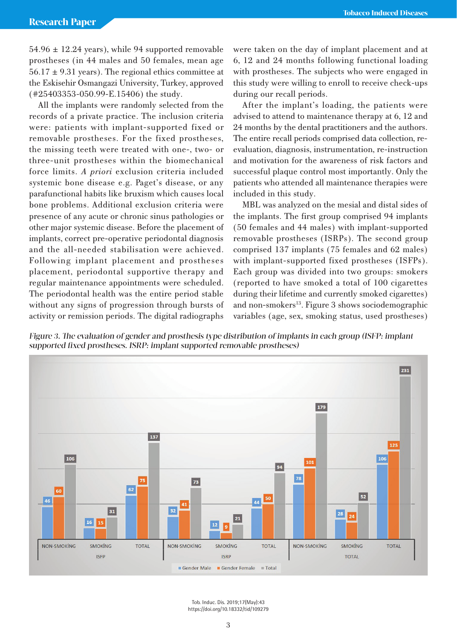$54.96 \pm 12.24$  years), while 94 supported removable prostheses (in 44 males and 50 females, mean age  $56.17 \pm 9.31$  years). The regional ethics committee at the Eskisehir Osmangazi University, Turkey, approved (#25403353-050.99-E.15406) the study.

All the implants were randomly selected from the records of a private practice. The inclusion criteria were: patients with implant-supported fixed or removable prostheses. For the fixed prostheses, the missing teeth were treated with one-, two- or three-unit prostheses within the biomechanical force limits. *A priori* exclusion criteria included systemic bone disease e.g. Paget's disease, or any parafunctional habits like bruxism which causes local bone problems. Additional exclusion criteria were presence of any acute or chronic sinus pathologies or other major systemic disease. Before the placement of implants, correct pre-operative periodontal diagnosis and the all-needed stabilisation were achieved. Following implant placement and prostheses placement, periodontal supportive therapy and regular maintenance appointments were scheduled. The periodontal health was the entire period stable without any signs of progression through bursts of activity or remission periods. The digital radiographs

were taken on the day of implant placement and at 6, 12 and 24 months following functional loading with prostheses. The subjects who were engaged in this study were willing to enroll to receive check-ups during our recall periods.

After the implant's loading, the patients were advised to attend to maintenance therapy at 6, 12 and 24 months by the dental practitioners and the authors. The entire recall periods comprised data collection, reevaluation, diagnosis, instrumentation, re-instruction and motivation for the awareness of risk factors and successful plaque control most importantly. Only the patients who attended all maintenance therapies were included in this study.

MBL was analyzed on the mesial and distal sides of the implants. The first group comprised 94 implants (50 females and 44 males) with implant-supported removable prostheses (ISRPs). The second group comprised 137 implants (75 females and 62 males) with implant-supported fixed prostheses (ISFPs). Each group was divided into two groups: smokers (reported to have smoked a total of 100 cigarettes during their lifetime and currently smoked cigarettes) and non-smokers<sup>13</sup>. Figure 3 shows sociodemographic variables (age, sex, smoking status, used prostheses)

Figure 3. The evaluation of gender and prosthesis type distribution of implants in each group (ISFP: implant supported fixed prostheses. ISRP: implant supported removable prostheses)



Tob. Induc. Dis. 2019;17(May):43 https://doi.org/10.18332/tid/109279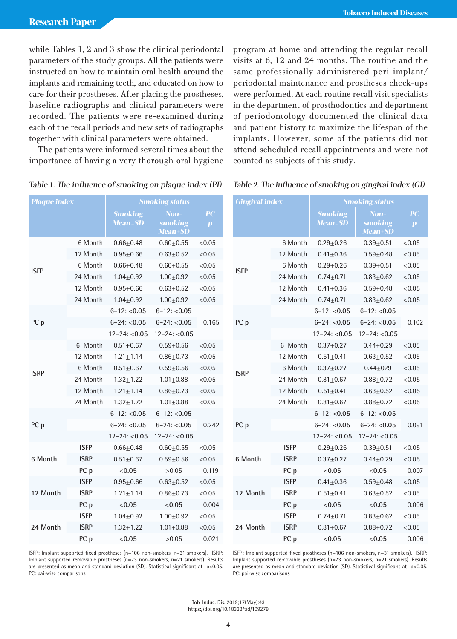while Tables 1, 2 and 3 show the clinical periodontal parameters of the study groups. All the patients were instructed on how to maintain oral health around the implants and remaining teeth, and educated on how to care for their prostheses. After placing the prostheses, baseline radiographs and clinical parameters were recorded. The patients were re-examined during each of the recall periods and new sets of radiographs together with clinical parameters were obtained.

The patients were informed several times about the importance of having a very thorough oral hygiene program at home and attending the regular recall visits at 6, 12 and 24 months. The routine and the same professionally administered peri-implant/ periodontal maintenance and prostheses check-ups were performed. At each routine recall visit specialists in the department of prosthodontics and department of periodontology documented the clinical data and patient history to maximize the lifespan of the implants. However, some of the patients did not attend scheduled recall appointments and were not counted as subjects of this study.

Table 2. The influence of smoking on gingival index (GI)

| <b>Plaque index</b> |             | <b>Smoking status</b>              |                                     |                        |             | <b>Gingival index</b> |                     | <b>Smoking status</b>                     |                                           |                        |
|---------------------|-------------|------------------------------------|-------------------------------------|------------------------|-------------|-----------------------|---------------------|-------------------------------------------|-------------------------------------------|------------------------|
|                     |             | <b>Smoking</b><br><b>Mean</b> ± SD | Non-<br>smoking<br><b>Mean</b> = SD | PC<br>$\boldsymbol{p}$ |             |                       |                     | <b>Smoking</b><br><b>Mean</b> ± <b>SD</b> | <b>Non</b><br>smoking<br><b>Mean</b> ± SD | PC<br>$\boldsymbol{p}$ |
| <b>ISFP</b>         | 6 Month     | $0.66 + 0.48$                      | $0.60 \pm 0.55$                     | < 0.05                 |             |                       | 6 Month             | $0.29 + 0.26$                             | $0.39 + 0.51$                             | < 0.05                 |
|                     | 12 Month    | $0.95 + 0.66$                      | $0.63 \pm 0.52$                     | < 0.05                 | <b>ISFP</b> | 12 Month              | $0.41 \pm 0.36$     | $0.59 + 0.48$                             | < 0.05                                    |                        |
|                     | 6 Month     | $0.66 \pm 0.48$                    | $0.60 + 0.55$                       | < 0.05                 |             | 6 Month               | $0.29 + 0.26$       | $0.39 + 0.51$                             | < 0.05                                    |                        |
|                     | 24 Month    | $1.04 + 0.92$                      | $1.00 + 0.92$                       | < 0.05                 |             | 24 Month              | $0.74 + 0.71$       | $0.83 + 0.62$                             | < 0.05                                    |                        |
|                     | 12 Month    | $0.95 \pm 0.66$                    | $0.63 \pm 0.52$                     | < 0.05                 |             | 12 Month              | $0.41 \pm 0.36$     | $0.59 + 0.48$                             | < 0.05                                    |                        |
|                     | 24 Month    | $1.04 \pm 0.92$                    | $1.00 + 0.92$                       | < 0.05                 |             | 24 Month              | $0.74 \pm 0.71$     | $0.83 + 0.62$                             | < 0.05                                    |                        |
| PC p                |             | $6 - 12$ : <0.05                   | $6 - 12$ : <0.05                    |                        | PC p        |                       |                     | $6 - 12$ : <0.05                          | $6 - 12$ : <0.05                          |                        |
|                     |             | $6 - 24$ : <0.05                   | $6 - 24$ : <0.05                    | 0.165                  |             |                       | $6 - 24$ : < $0.05$ | $6 - 24$ : < $0.05$                       | 0.102                                     |                        |
|                     |             | $12 - 24: < 0.05$                  | $12 - 24: < 0.05$                   |                        |             |                       | $12 - 24$ : <0.05   | $12 - 24: < 0.05$                         |                                           |                        |
|                     | 6 Month     | $0.51 \pm 0.67$                    | $0.59 + 0.56$                       | < 0.05                 |             |                       | 6 Month             | $0.37 + 0.27$                             | $0.44 \pm 0.29$                           | < 0.05                 |
|                     | 12 Month    | $1.21 \pm 1.14$                    | $0.86 \pm 0.73$                     | < 0.05                 | <b>ISRP</b> | 12 Month              | $0.51 \pm 0.41$     | $0.63 \pm 0.52$                           | < 0.05                                    |                        |
| <b>ISRP</b>         | 6 Month     | $0.51 \pm 0.67$                    | $0.59 + 0.56$                       | < 0.05                 |             |                       | 6 Month             | $0.37 \pm 0.27$                           | $0.44 \pm 029$                            | < 0.05                 |
|                     | 24 Month    | $1.32 \pm 1.22$                    | $1.01 + 0.88$                       | < 0.05                 |             |                       | 24 Month            | $0.81 + 0.67$                             | $0.88 + 0.72$                             | < 0.05                 |
|                     | 12 Month    | $1.21 \pm 1.14$                    | $0.86 \pm 0.73$                     | < 0.05                 |             | 12 Month              | $0.51 \pm 0.41$     | $0.63 + 0.52$                             | < 0.05                                    |                        |
|                     | 24 Month    | $1.32 \pm 1.22$                    | $1.01 + 0.88$                       | < 0.05                 |             |                       | 24 Month            | $0.81 + 0.67$                             | $0.88 + 0.72$                             | < 0.05                 |
|                     |             | $6 - 12$ : <0.05                   | $6 - 12$ : <0.05                    |                        |             | PC p                  |                     | $6 - 12$ : <0.05                          | $6 - 12$ : <0.05                          |                        |
| PC p                |             | $6 - 24: < 0.05$                   | $6 - 24$ : <0.05                    | 0.242                  |             |                       |                     | $6 - 24: < 0.05$                          | $6 - 24$ : < $0.05$                       | 0.091                  |
|                     |             | $12 - 24: < 0.05$                  | $12 - 24$ : <0.05                   |                        |             |                       |                     | $12 - 24$ : <0.05                         | $12 - 24$ : <0.05                         |                        |
|                     | <b>ISFP</b> | $0.66 + 0.48$                      | $0.60 + 0.55$                       | < 0.05                 | 6 Month     |                       | <b>ISFP</b>         | $0.29 + 0.26$                             | $0.39 + 0.51$                             | < 0.05                 |
| 6 Month             | <b>ISRP</b> | $0.51 \pm 0.67$                    | $0.59 + 0.56$                       | < 0.05                 |             |                       | <b>ISRP</b>         | $0.37 + 0.27$                             | $0.44 \pm 0.29$                           | < 0.05                 |
|                     | PC p        | < 0.05                             | >0.05                               | 0.119                  |             |                       | PC p                | < 0.05                                    | < 0.05                                    | 0.007                  |
|                     | <b>ISFP</b> | $0.95 + 0.66$                      | $0.63 + 0.52$                       | < 0.05                 | 12 Month    |                       | <b>ISFP</b>         | $0.41 \pm 0.36$                           | $0.59 + 0.48$                             | < 0.05                 |
| 12 Month            | <b>ISRP</b> | $1.21 \pm 1.14$                    | $0.86 \pm 0.73$                     | < 0.05                 |             | <b>ISRP</b>           | $0.51 \pm 0.41$     | $0.63 \pm 0.52$                           | < 0.05                                    |                        |
|                     | PC p        | < 0.05                             | < 0.05                              | 0.004                  |             |                       | PC p                | < 0.05                                    | < 0.05                                    | 0.006                  |
|                     | <b>ISFP</b> | $1.04 + 0.92$                      | $1.00 + 0.92$                       | < 0.05                 | 24 Month    |                       | <b>ISFP</b>         | $0.74 \pm 0.71$                           | $0.83 + 0.62$                             | < 0.05                 |
| 24 Month            | <b>ISRP</b> | $1.32 \pm 1.22$                    | $1.01 + 0.88$                       | < 0.05                 |             | <b>ISRP</b>           | $0.81 \pm 0.67$     | $0.88 + 0.72$                             | < 0.05                                    |                        |
|                     | PC p        | < 0.05                             | >0.05                               | 0.021                  |             |                       | PC p                | < 0.05                                    | < 0.05                                    | 0.006                  |

# Table 1. The influence of smoking on plaque index (PI)

ISFP: Implant supported fixed prostheses (n=106 non-smokers, n=31 smokers). ISRP: Implant supported removable prostheses (n=73 non-smokers, n=21 smokers). Results are presented as mean and standard deviation (SD). Statistical significant at p<0.05. PC: pairwise comparisons.

ISFP: Implant supported fixed prostheses (n=106 non-smokers, n=31 smokers). ISRP: Implant supported removable prostheses (n=73 non-smokers, n=21 smokers). Results are presented as mean and standard deviation (SD). Statistical significant at p<0.05. PC: pairwise comparisons.

Tob. Induc. Dis. 2019;17(May):43 https://doi.org/10.18332/tid/109279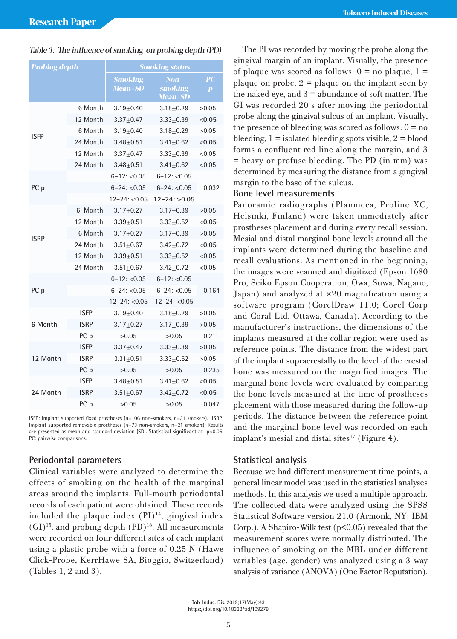#### Table 3. The influence of smoking on probing depth (PD)

| <b>Probing depth</b> |             | <b>Smoking status</b>              |                                    |                        |  |  |
|----------------------|-------------|------------------------------------|------------------------------------|------------------------|--|--|
|                      |             | <b>Smoking</b><br><b>Mean</b> ± SD | Non<br>smoking<br><b>Mean</b> ± SD | PC<br>$\boldsymbol{p}$ |  |  |
|                      | 6 Month     | $3.19 + 0.40$                      | $3.18 + 0.29$                      | >0.05                  |  |  |
|                      | 12 Month    | $3.37 + 0.47$                      | $3.33 + 0.39$                      | < 0.05                 |  |  |
| ISFP                 | 6 Month     | $3.19 + 0.40$                      | $3.18 + 0.29$                      | >0.05                  |  |  |
|                      | 24 Month    | $3.48 + 0.51$                      | $3.41 + 0.62$                      | < 0.05                 |  |  |
|                      | 12 Month    | $3.37 + 0.47$                      | $3.33 + 0.39$                      | < 0.05                 |  |  |
|                      | 24 Month    | $3.48 + 0.51$                      | $3.41 + 0.62$                      | < 0.05                 |  |  |
|                      |             | $6 - 12$ : <0.05                   | $6 - 12$ : <0.05                   | 0.032                  |  |  |
| PC p                 |             | $6 - 24$ : < 0.05                  | $6 - 24$ : < 0.05                  |                        |  |  |
|                      |             | $12 - 24$ : <0.05                  | $12 - 24$ : $> 0.05$               |                        |  |  |
|                      | Month<br>6  | $3.17 + 0.27$                      | $3.17 + 0.39$                      | >0.05                  |  |  |
|                      | 12 Month    | $3.39 + 0.51$                      | $3.33 + 0.52$                      | < 0.05                 |  |  |
| <b>ISRP</b>          | 6 Month     | $3.17 + 0.27$                      | $3.17 + 0.39$                      | >0.05                  |  |  |
|                      | 24 Month    | $3.51 + 0.67$                      | $3.42 + 0.72$                      | < 0.05                 |  |  |
|                      | 12 Month    | $3.39 + 0.51$                      | $3.33 + 0.52$                      | < 0.05                 |  |  |
|                      | 24 Month    | $3.51 + 0.67$                      | $3.42 + 0.72$                      | < 0.05                 |  |  |
|                      |             | $6 - 12$ : < 0.05                  | $6 - 12$ : < 0.05                  | 0.164                  |  |  |
| PC p                 |             | $6 - 24$ : < $0.05$                | $6 - 24$ : < 0.05                  |                        |  |  |
|                      |             | $12 - 24$ : <0.05                  | $12 - 24$ : <0.05                  |                        |  |  |
|                      | <b>ISFP</b> | $3.19 \pm 0.40$                    | $3.18 + 0.29$                      | >0.05                  |  |  |
| 6 Month              | <b>ISRP</b> | $3.17 + 0.27$                      | $3.17 + 0.39$                      | >0.05                  |  |  |
|                      | PC p        | >0.05                              | >0.05                              | 0.211                  |  |  |
|                      | <b>ISFP</b> | $3.37 + 0.47$                      | $3.33 + 0.39$                      | >0.05                  |  |  |
| 12 Month             | <b>ISRP</b> | $3.31 + 0.51$                      | $3.33 + 0.52$                      | >0.05                  |  |  |
|                      | PC p        | >0.05                              | >0.05                              | 0.235                  |  |  |
|                      | <b>ISFP</b> | $3.48 + 0.51$                      | $3.41 + 0.62$                      | < 0.05                 |  |  |
| 24 Month             | ISRP        | $3.51 + 0.67$                      | $3.42 + 0.72$                      | < 0.05                 |  |  |
|                      | PC p        | >0.05                              | >0.05                              | 0.047                  |  |  |

ISFP: Implant supported fixed prostheses (n=106 non-smokers, n=31 smokers). ISRP: Implant supported removable prostheses (n=73 non-smokers, n=21 smokers). Results are presented as mean and standard deviation (SD). Statistical significant at p<0.05. PC: pairwise comparisons.

## **Periodontal parameters**

Clinical variables were analyzed to determine the effects of smoking on the health of the marginal areas around the implants. Full-mouth periodontal records of each patient were obtained. These records included the plaque index  $(PI)^{14}$ , gingival index  $(GI)^{15}$ , and probing depth  $(PD)^{16}$ . All measurements were recorded on four different sites of each implant using a plastic probe with a force of 0.25 N (Hawe Click-Probe, KerrHawe SA, Bioggio, Switzerland) (Tables 1, 2 and 3).

The PI was recorded by moving the probe along the gingival margin of an implant. Visually, the presence of plaque was scored as follows:  $0 =$  no plaque,  $1 =$ plaque on probe,  $2 =$  plaque on the implant seen by the naked eye, and  $3 =$  abundance of soft matter. The GI was recorded 20 s after moving the periodontal probe along the gingival sulcus of an implant. Visually, the presence of bleeding was scored as follows:  $0 = no$ bleeding,  $1 =$  isolated bleeding spots visible,  $2 =$  blood forms a confluent red line along the margin, and 3 = heavy or profuse bleeding. The PD (in mm) was determined by measuring the distance from a gingival margin to the base of the sulcus.

# **Bone level measurements**

Panoramic radiographs (Planmeca, Proline XC, Helsinki, Finland) were taken immediately after prostheses placement and during every recall session. Mesial and distal marginal bone levels around all the implants were determined during the baseline and recall evaluations. As mentioned in the beginning, the images were scanned and digitized (Epson 1680 Pro, Seiko Epson Cooperation, Owa, Suwa, Nagano, Japan) and analyzed at ×20 magnification using a software program (CorelDraw 11.0; Corel Corp and Coral Ltd, Ottawa, Canada). According to the manufacturer's instructions, the dimensions of the implants measured at the collar region were used as reference points. The distance from the widest part of the implant supracrestally to the level of the crestal bone was measured on the magnified images. The marginal bone levels were evaluated by comparing the bone levels measured at the time of prostheses placement with those measured during the follow-up periods. The distance between the reference point and the marginal bone level was recorded on each implant's mesial and distal sites $^{17}$  (Figure 4).

## **Statistical analysis**

Because we had different measurement time points, a general linear model was used in the statistical analyses methods. In this analysis we used a multiple approach. The collected data were analyzed using the SPSS Statistical Software version 21.0 (Armonk, NY: IBM Corp.). A Shapiro-Wilk test (p<0.05) revealed that the measurement scores were normally distributed. The influence of smoking on the MBL under different variables (age, gender) was analyzed using a 3-way analysis of variance (ANOVA) (One Factor Reputation).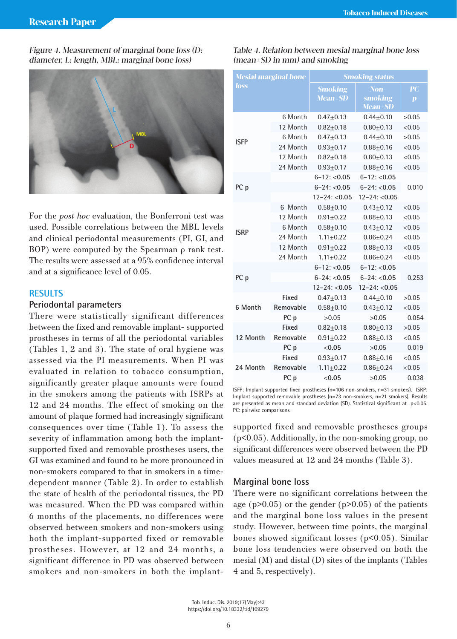Figure 4. Measurement of marginal bone loss (D: diameter, L: length, MBL: marginal bone loss)



For the *post hoc* evaluation, the Bonferroni test was used. Possible correlations between the MBL levels and clinical periodontal measurements (PI, GI, and BOP) were computed by the Spearman ρ rank test. The results were assessed at a 95% confidence interval and at a significance level of 0.05.

# **RESULTS**

#### **Periodontal parameters**

There were statistically significant differences between the fixed and removable implant- supported prostheses in terms of all the periodontal variables (Tables 1, 2 and 3). The state of oral hygiene was assessed via the PI measurements. When PI was evaluated in relation to tobacco consumption, significantly greater plaque amounts were found in the smokers among the patients with ISRPs at 12 and 24 months. The effect of smoking on the amount of plaque formed had increasingly significant consequences over time (Table 1). To assess the severity of inflammation among both the implantsupported fixed and removable prostheses users, the GI was examined and found to be more pronounced in non-smokers compared to that in smokers in a timedependent manner (Table 2). In order to establish the state of health of the periodontal tissues, the PD was measured. When the PD was compared within 6 months of the placements, no differences were observed between smokers and non-smokers using both the implant-supported fixed or removable prostheses. However, at 12 and 24 months, a significant difference in PD was observed between smokers and non-smokers in both the implant-

| <b>Mesial marginal bone</b> |                 | <b>Smoking status</b>       |                                         |                                                       |  |  |  |
|-----------------------------|-----------------|-----------------------------|-----------------------------------------|-------------------------------------------------------|--|--|--|
| <i>loss</i>                 |                 | <b>Smoking</b><br>Mean = SD | <b>Non</b><br>smoking<br><b>Mean±SD</b> | $\overline{\mathbf{P}}\mathbf{C}$<br>$\boldsymbol{p}$ |  |  |  |
|                             | 6 Month         | $0.47 + 0.13$               | $0.44 + 0.10$                           | >0.05                                                 |  |  |  |
|                             | 12 Month        | $0.82 + 0.18$               | $0.80 + 0.13$                           | < 0.05                                                |  |  |  |
| <b>ISFP</b>                 | 6 Month         | $0.47 + 0.13$               | $0.44 + 0.10$                           | >0.05                                                 |  |  |  |
|                             | 24 Month        | $0.93 + 0.17$               | $0.88 + 0.16$                           | < 0.05                                                |  |  |  |
|                             | 12 Month        | $0.82 + 0.18$               | $0.80 + 0.13$                           | < 0.05                                                |  |  |  |
|                             | 24 Month        | $0.93 + 0.17$               | $0.88 + 0.16$                           | < 0.05                                                |  |  |  |
|                             |                 | $6 - 12$ : <0.05            | $6 - 12$ : < 0.05                       | 0.010                                                 |  |  |  |
| PC p                        |                 | $6 - 24: < 0.05$            | $6 - 24$ : < 0.05                       |                                                       |  |  |  |
|                             |                 | $12 - 24$ : <0.05           | $12 - 24$ : <0.05                       |                                                       |  |  |  |
|                             | 6 Month         | $0.58 + 0.10$               | $0.43 + 0.12$                           | < 0.05                                                |  |  |  |
|                             | 12 Month        | $0.91 + 0.22$               | $0.88 + 0.13$                           | < 0.05                                                |  |  |  |
| <b>ISRP</b>                 | 6 Month         | $0.58 + 0.10$               | $0.43 + 0.12$                           | < 0.05                                                |  |  |  |
|                             | 24 Month        | $1.11 \pm 0.22$             | $0.86 \pm 0.24$                         | < 0.05                                                |  |  |  |
|                             | 12 Month        | $0.91 + 0.22$               | $0.88 + 0.13$                           | < 0.05                                                |  |  |  |
|                             | 24 Month        | $1.11 \pm 0.22$             | $0.86 + 0.24$                           | < 0.05                                                |  |  |  |
|                             |                 | $6 - 12$ : <0.05            | $6 - 12$ : < 0.05                       |                                                       |  |  |  |
| PC p                        |                 | $6 - 24: < 0.05$            | $6 - 24$ : < $0.05$                     | 0.253                                                 |  |  |  |
|                             |                 | $12 - 24$ : <0.05           | $12 - 24$ : <0.05                       |                                                       |  |  |  |
|                             | Fixed           | $0.47 + 0.13$               | $0.44 + 0.10$                           | >0.05                                                 |  |  |  |
| 6 Month                     | Removable       | $0.58 + 0.10$               | $0.43 + 0.12$                           | < 0.05                                                |  |  |  |
|                             | PC p            | >0.05                       | >0.05                                   | 0.054                                                 |  |  |  |
|                             | Fixed           | $0.82 + 0.18$               | $0.80 + 0.13$                           | >0.05                                                 |  |  |  |
| 12 Month                    | Removable       | $0.91 + 0.22$               | $0.88 + 0.13$                           | < 0.05                                                |  |  |  |
|                             | PC p            | < 0.05                      | >0.05                                   | 0.019                                                 |  |  |  |
|                             | Fixed           | $0.93 + 0.17$               | $0.88 + 0.16$                           | < 0.05                                                |  |  |  |
| 24 Month                    | Removable       | $1.11 \pm 0.22$             | $0.86 + 0.24$                           | < 0.05                                                |  |  |  |
|                             | PC <sub>p</sub> | < 0.05                      | >0.05                                   | 0.038                                                 |  |  |  |

Table 4. Relation between mesial marginal bone loss

(mean±SD in mm) and smoking

ISFP: Implant supported fixed prostheses (n=106 non-smokers, n=31 smokers). ISRP: Implant supported removable prostheses (n=73 non-smokers, n=21 smokers). Results are presented as mean and standard deviation (SD). Statistical significant at p<0.05. PC: pairwise comparisons.

supported fixed and removable prostheses groups (p<0.05). Additionally, in the non-smoking group, no significant differences were observed between the PD values measured at 12 and 24 months (Table 3).

#### **Marginal bone loss**

There were no significant correlations between the age ( $p>0.05$ ) or the gender ( $p>0.05$ ) of the patients and the marginal bone loss values in the present study. However, between time points, the marginal bones showed significant losses (p<0.05). Similar bone loss tendencies were observed on both the mesial (M) and distal (D) sites of the implants (Tables 4 and 5, respectively).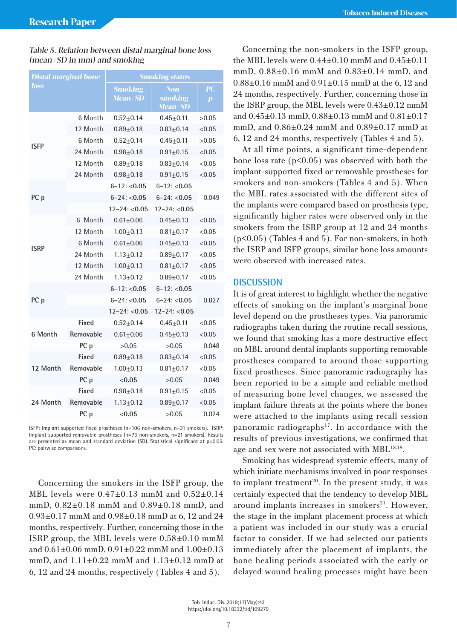| <b>Distal marginal bone</b> |                 | <b>Smoking status</b>              |                                    |                                                                  |  |  |
|-----------------------------|-----------------|------------------------------------|------------------------------------|------------------------------------------------------------------|--|--|
| loss                        |                 | <b>Smoking</b><br><b>Mean</b> ± SD | Non<br>smoking<br><b>Mean</b> ± SD | $\overline{\mathbf{P}}\overline{\mathbf{C}}$<br>$\boldsymbol{p}$ |  |  |
|                             | 6 Month         | $0.52 + 0.14$                      | $0.45 \pm 0.11$                    | >0.05                                                            |  |  |
|                             | 12 Month        | $0.89 + 0.18$                      | $0.83 + 0.14$                      | < 0.05                                                           |  |  |
| <b>ISFP</b>                 | 6 Month         | $0.52 + 0.14$                      | $0.45 \pm 0.11$                    | >0.05                                                            |  |  |
|                             | 24 Month        | $0.98 + 0.18$                      | $0.91 + 0.15$                      | < 0.05                                                           |  |  |
|                             | 12 Month        | $0.89 + 0.18$                      | $0.83 + 0.14$                      | < 0.05                                                           |  |  |
|                             | 24 Month        | $0.98 + 0.18$                      | $0.91 \pm 0.15$                    | < 0.05                                                           |  |  |
|                             |                 | $6 - 12$ : <0.05                   | $6 - 12$ : <0.05                   |                                                                  |  |  |
| PC p                        |                 | $6 - 24: < 0.05$                   | $6 - 24: < 0.05$                   | 0.049                                                            |  |  |
|                             |                 | $12 - 24$ : <0.05                  | $12 - 24$ : <0.05                  |                                                                  |  |  |
|                             | 6 Month         | $0.61 + 0.06$                      | $0.45 \pm 0.13$                    | < 0.05                                                           |  |  |
|                             | 12 Month        | $1.00 + 0.13$                      | $0.81 \pm 0.17$                    | < 0.05                                                           |  |  |
| <b>ISRP</b>                 | 6 Month         | $0.61 \pm 0.06$                    | $0.45 \pm 0.13$                    | < 0.05                                                           |  |  |
|                             | 24 Month        | $1.13 \pm 0.12$                    | $0.89 + 0.17$                      | < 0.05                                                           |  |  |
|                             | 12 Month        | $1.00 + 0.13$                      | $0.81 \pm 0.17$                    | < 0.05                                                           |  |  |
|                             | 24 Month        | $1.13 + 0.12$                      | $0.89 + 0.17$                      | < 0.05                                                           |  |  |
|                             |                 | $6 - 12$ : <0.05                   | $6 - 12$ : <0.05                   |                                                                  |  |  |
| PC p                        |                 | $6 - 24: < 0.05$                   | $6 - 24: < 0.05$                   | 0.827                                                            |  |  |
|                             |                 | $12 - 24$ : <0.05                  | $12 - 24$ : $< 0.05$               |                                                                  |  |  |
|                             | Fixed           | $0.52 + 0.14$                      | $0.45 + 0.11$                      | < 0.05                                                           |  |  |
| 6 Month                     | Removable       | $0.61 + 0.06$                      | $0.45 \pm 0.13$                    | < 0.05                                                           |  |  |
|                             | PC p            | >0.05                              | >0.05                              | 0.048                                                            |  |  |
|                             | Fixed           | $0.89 + 0.18$                      | $0.83 + 0.14$                      | < 0.05                                                           |  |  |
| 12 Month                    | Removable       | $1.00 + 0.13$                      | $0.81 + 0.17$                      | < 0.05                                                           |  |  |
|                             | PC p            | < 0.05                             | >0.05                              | 0.049                                                            |  |  |
|                             | Fixed           | $0.98 + 0.18$                      | $0.91 \pm 0.15$                    | < 0.05                                                           |  |  |
| 24 Month                    | Removable       | $1.13 + 0.12$                      | $0.89 + 0.17$                      | < 0.05                                                           |  |  |
|                             | PC <sub>p</sub> | < 0.05                             | >0.05                              | 0.024                                                            |  |  |

## Table 5. Relation between distal marginal bone loss (mean±SD in mm) and smoking

ISFP: Implant supported fixed prostheses (n=106 non-smokers, n=31 smokers). ISRP: Implant supported removable prostheses (n=73 non-smokers, n=21 smokers). Results are presented as mean and standard deviation (SD). Statistical significant at p<0.05. PC: pairwise comparisons.

Concerning the smokers in the ISFP group, the MBL levels were 0.47±0.13 mmM and 0.52±0.14 mmD, 0.82±0.18 mmM and 0.89±0.18 mmD, and 0.93±0.17 mmM and 0.98±0.18 mmD at 6, 12 and 24 months, respectively. Further, concerning those in the ISRP group, the MBL levels were 0.58±0.10 mmM and 0.61±0.06 mmD, 0.91±0.22 mmM and 1.00±0.13 mmD, and 1.11±0.22 mmM and 1.13±0.12 mmD at 6, 12 and 24 months, respectively (Tables 4 and 5).

Concerning the non-smokers in the ISFP group, the MBL levels were 0.44±0.10 mmM and 0.45±0.11 mmD, 0.88±0.16 mmM and 0.83±0.14 mmD, and 0.88±0.16 mmM and 0.91±0.15 mmD at the 6, 12 and 24 months, respectively. Further, concerning those in the ISRP group, the MBL levels were 0.43±0.12 mmM and 0.45±0.13 mmD, 0.88±0.13 mmM and 0.81±0.17 mmD, and 0.86±0.24 mmM and 0.89±0.17 mmD at 6, 12 and 24 months, respectively (Tables 4 and 5).

At all time points, a significant time-dependent bone loss rate  $(p<0.05)$  was observed with both the implant-supported fixed or removable prostheses for smokers and non-smokers (Tables 4 and 5). When the MBL rates associated with the different sites of the implants were compared based on prosthesis type, significantly higher rates were observed only in the smokers from the ISRP group at 12 and 24 months (p<0.05) (Tables 4 and 5). For non-smokers, in both the ISRP and ISFP groups, similar bone loss amounts were observed with increased rates.

# **DISCUSSION**

It is of great interest to highlight whether the negative effects of smoking on the implant's marginal bone level depend on the prostheses types. Via panoramic radiographs taken during the routine recall sessions, we found that smoking has a more destructive effect on MBL around dental implants supporting removable prostheses compared to around those supporting fixed prostheses. Since panoramic radiography has been reported to be a simple and reliable method of measuring bone level changes, we assessed the implant failure threats at the points where the bones were attached to the implants using recall session panoramic radiographs<sup>17</sup>. In accordance with the results of previous investigations, we confirmed that age and sex were not associated with MBL<sup>18,19</sup>.

Smoking has widespread systemic effects, many of which initiate mechanisms involved in poor responses to implant treatment<sup>20</sup>. In the present study, it was certainly expected that the tendency to develop MBL around implants increases in smokers<sup>21</sup>. However, the stage in the implant placement process at which a patient was included in our study was a crucial factor to consider. If we had selected our patients immediately after the placement of implants, the bone healing periods associated with the early or delayed wound healing processes might have been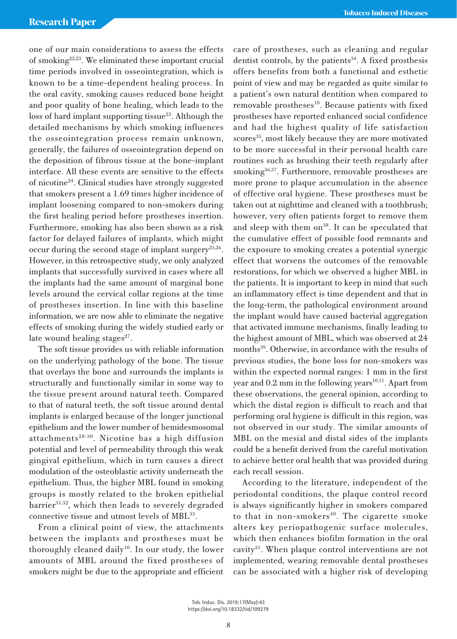one of our main considerations to assess the effects of smoking22,23. We eliminated these important crucial time periods involved in osseointegration, which is known to be a time-dependent healing process. In the oral cavity, smoking causes reduced bone height and poor quality of bone healing, which leads to the loss of hard implant supporting tissue $^{23}$ . Although the detailed mechanisms by which smoking influences the osseointegration process remain unknown, generally, the failures of osseointegration depend on the deposition of fibrous tissue at the bone-implant interface. All these events are sensitive to the effects of nicotine24. Clinical studies have strongly suggested that smokers present a 1.69 times higher incidence of implant loosening compared to non-smokers during the first healing period before prostheses insertion. Furthermore, smoking has also been shown as a risk factor for delayed failures of implants, which might occur during the second stage of implant surgery<sup>25,26</sup>. However, in this retrospective study, we only analyzed implants that successfully survived in cases where all the implants had the same amount of marginal bone levels around the cervical collar regions at the time of prostheses insertion. In line with this baseline information, we are now able to eliminate the negative effects of smoking during the widely studied early or late wound healing stages $27$ .

The soft tissue provides us with reliable information on the underlying pathology of the bone. The tissue that overlays the bone and surrounds the implants is structurally and functionally similar in some way to the tissue present around natural teeth. Compared to that of natural teeth, the soft tissue around dental implants is enlarged because of the longer junctional epithelium and the lower number of hemidesmosomal attachments<sup>28-30</sup>. Nicotine has a high diffusion potential and level of permeability through this weak gingival epithelium, which in turn causes a direct modulation of the osteoblastic activity underneath the epithelium. Thus, the higher MBL found in smoking groups is mostly related to the broken epithelial barrier<sup>31,32</sup>, which then leads to severely degraded connective tissue and utmost levels of MBL<sup>33</sup>.

From a clinical point of view, the attachments between the implants and prostheses must be thoroughly cleaned daily<sup>10</sup>. In our study, the lower amounts of MBL around the fixed prostheses of smokers might be due to the appropriate and efficient care of prostheses, such as cleaning and regular dentist controls, by the patients $34$ . A fixed prosthesis offers benefits from both a functional and esthetic point of view and may be regarded as quite similar to a patient's own natural dentition when compared to removable prostheses<sup>10</sup>. Because patients with fixed prostheses have reported enhanced social confidence and had the highest quality of life satisfaction scores<sup>35</sup>, most likely because they are more motivated to be more successful in their personal health care routines such as brushing their teeth regularly after smoking36,37. Furthermore, removable prostheses are more prone to plaque accumulation in the absence of effective oral hygiene. These prostheses must be taken out at nighttime and cleaned with a toothbrush; however, very often patients forget to remove them and sleep with them on<sup>38</sup>. It can be speculated that the cumulative effect of possible food remnants and the exposure to smoking creates a potential synergic effect that worsens the outcomes of the removable restorations, for which we observed a higher MBL in the patients. It is important to keep in mind that such an inflammatory effect is time dependent and that in the long-term, the pathological environment around the implant would have caused bacterial aggregation that activated immune mechanisms, finally leading to the highest amount of MBL, which was observed at 24 months<sup>39</sup>. Otherwise, in accordance with the results of previous studies, the bone loss for non-smokers was within the expected normal ranges: 1 mm in the first year and  $0.2$  mm in the following years<sup>10,11</sup>. Apart from these observations, the general opinion, according to which the distal region is difficult to reach and that performing oral hygiene is difficult in this region, was not observed in our study. The similar amounts of MBL on the mesial and distal sides of the implants could be a benefit derived from the careful motivation to achieve better oral health that was provided during each recall session.

According to the literature, independent of the periodontal conditions, the plaque control record is always significantly higher in smokers compared to that in non-smokers<sup>40</sup>. The cigarette smoke alters key periopathogenic surface molecules, which then enhances biofilm formation in the oral cavity<sup>21</sup>. When plaque control interventions are not implemented, wearing removable dental prostheses can be associated with a higher risk of developing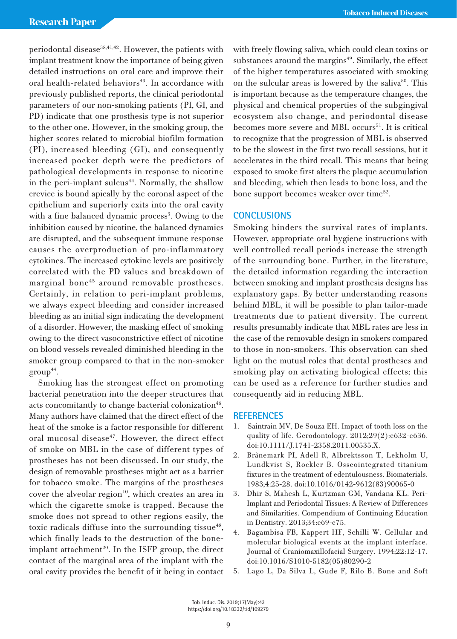periodontal disease<sup>38,41,42</sup>. However, the patients with implant treatment know the importance of being given detailed instructions on oral care and improve their oral health-related behaviors<sup>43</sup>. In accordance with previously published reports, the clinical periodontal parameters of our non-smoking patients (PI, GI, and PD) indicate that one prosthesis type is not superior to the other one. However, in the smoking group, the higher scores related to microbial biofilm formation (PI), increased bleeding (GI), and consequently increased pocket depth were the predictors of pathological developments in response to nicotine in the peri-implant sulcus $44$ . Normally, the shallow crevice is bound apically by the coronal aspect of the epithelium and superiorly exits into the oral cavity with a fine balanced dynamic process<sup>3</sup>. Owing to the inhibition caused by nicotine, the balanced dynamics are disrupted, and the subsequent immune response causes the overproduction of pro-inflammatory cytokines. The increased cytokine levels are positively correlated with the PD values and breakdown of marginal bone<sup>45</sup> around removable prostheses. Certainly, in relation to peri-implant problems, we always expect bleeding and consider increased bleeding as an initial sign indicating the development of a disorder. However, the masking effect of smoking owing to the direct vasoconstrictive effect of nicotine on blood vessels revealed diminished bleeding in the smoker group compared to that in the non-smoker  $group<sup>44</sup>$ .

Smoking has the strongest effect on promoting bacterial penetration into the deeper structures that acts concomitantly to change bacterial colonization<sup>46</sup>. Many authors have claimed that the direct effect of the heat of the smoke is a factor responsible for different oral mucosal disease<sup>47</sup>. However, the direct effect of smoke on MBL in the case of different types of prostheses has not been discussed. In our study, the design of removable prostheses might act as a barrier for tobacco smoke. The margins of the prostheses cover the alveolar region<sup>10</sup>, which creates an area in which the cigarette smoke is trapped. Because the smoke does not spread to other regions easily, the toxic radicals diffuse into the surrounding tissue $48$ , which finally leads to the destruction of the boneimplant attachment<sup>20</sup>. In the ISFP group, the direct contact of the marginal area of the implant with the oral cavity provides the benefit of it being in contact

with freely flowing saliva, which could clean toxins or substances around the margins $49$ . Similarly, the effect of the higher temperatures associated with smoking on the sulcular areas is lowered by the saliva<sup>50</sup>. This is important because as the temperature changes, the physical and chemical properties of the subgingival ecosystem also change, and periodontal disease becomes more severe and MBL occurs<sup>51</sup>. It is critical to recognize that the progression of MBL is observed to be the slowest in the first two recall sessions, but it accelerates in the third recall. This means that being exposed to smoke first alters the plaque accumulation and bleeding, which then leads to bone loss, and the bone support becomes weaker over time<sup>52</sup>.

# **CONCLUSIONS**

Smoking hinders the survival rates of implants. However, appropriate oral hygiene instructions with well controlled recall periods increase the strength of the surrounding bone. Further, in the literature, the detailed information regarding the interaction between smoking and implant prosthesis designs has explanatory gaps. By better understanding reasons behind MBL, it will be possible to plan tailor-made treatments due to patient diversity. The current results presumably indicate that MBL rates are less in the case of the removable design in smokers compared to those in non-smokers. This observation can shed light on the mutual roles that dental prostheses and smoking play on activating biological effects; this can be used as a reference for further studies and consequently aid in reducing MBL.

#### **REFERENCES**

- Saintrain MV, De Souza EH. Impact of tooth loss on the quality of life. Gerodontology. 2012;29(2):e632-e636. doi:10.1111/J.1741-2358.2011.00535.X.
- 2. Brånemark PI, Adell R, Albrektsson T, Lekholm U, Lundkvist S, Rockler B. Osseointegrated titanium fixtures in the treatment of edentulousness. Biomaterials. 1983;4:25-28. doi:10.1016/0142-9612(83)90065-0
- 3. Dhir S, Mahesh L, Kurtzman GM, Vandana KL. Peri-Implant and Periodontal Tissues: A Review of Differences and Similarities. Compendium of Continuing Education in Dentistry. 2013;34:e69-e75.
- 4. Bagambisa FB, Kappert HF, Schilli W. Cellular and molecular biological events at the implant interface. Journal of Craniomaxillofacial Surgery. 1994;22:12-17. doi:10.1016/S1010-5182(05)80290-2
- 5. Lago L, Da Silva L, Gude F, Rilo B. Bone and Soft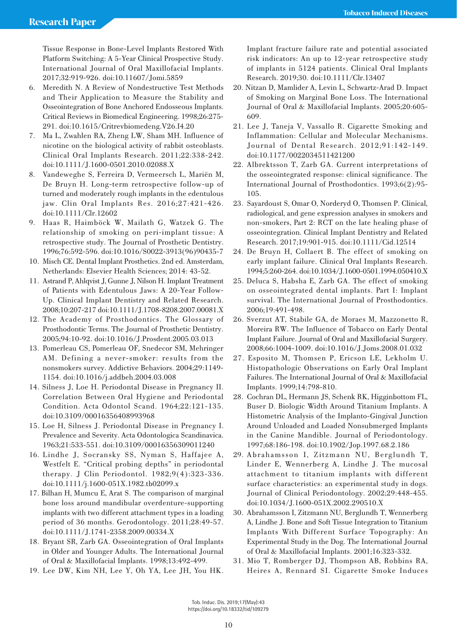Tissue Response in Bone-Level Implants Restored With Platform Switching: A 5-Year Clinical Prospective Study. International Journal of Oral Maxillofacial Implants. 2017;32:919-926. doi:10.11607/Jomi.5859

- 6. Meredith N. A Review of Nondestructive Test Methods and Their Application to Measure the Stability and Osseointegration of Bone Anchored Endosseous Implants. Critical Reviews in Biomedical Engineering. 1998;26:275- 291. doi:10.1615/Critrevbiomedeng.V26.I4.20
- 7. Ma L, Zwahlen RA, Zheng LW, Sham MH. Influence of nicotine on the biological activity of rabbit osteoblasts. Clinical Oral Implants Research. 2011;22:338-242. doi:10.1111/J.1600-0501.2010.02088.X
- 8. Vandeweghe S, Ferreira D, Vermeersch L, Mariën M, De Bruyn H. Long-term retrospective follow-up of turned and moderately rough implants in the edentulous jaw. Clin Oral Implants Res. 2016;27:421-426. doi:10.1111/Clr.12602
- 9. Haas R, Haimböck W, Mailath G, Watzek G. The relationship of smoking on peri-implant tissue: A retrospective study. The Journal of Prosthetic Dentistry. 1996;76:592-596. doi:10.1016/S0022-3913(96)90435-7
- 10. Misch CE. Dental Implant Prosthetics. 2nd ed. Amsterdam, Netherlands: Elsevier Health Sciences; 2014: 43-52.
- 11. Astrand P, Ahlqvist J, Gunne J, Nilson H. Implant Treatment of Patients with Edentulous Jaws: A 20-Year Follow-Up. Clinical Implant Dentistry and Related Research. 2008;10:207-217 doi:10.1111/J.1708-8208.2007.00081.X
- 12. The Academy of Prosthodontics. The Glossary of Prosthodontic Terms. The Journal of Prosthetic Dentistry. 2005;94:10-92. doi:10.1016/J.Prosdent.2005.03.013
- 13. Pomerleau CS, Pomerleau OF, Snedecor SM, Mehringer AM. Defining a never-smoker: results from the nonsmokers survey. Addictive Behaviors. 2004;29:1149- 1154. doi:10.1016/j.addbeh.2004.03.008
- 14. Silness J, Loe H. Periodontal Disease in Pregnancy ΙΙ. Correlation Between Oral Hygiene and Periodontal Condition. Acta Odontol Scand. 1964;22:121-135. doi:10.3109/00016356408993968
- 15. Loe H, Silness J. Periodontal Disease in Pregnancy I. Prevalence and Severity. Acta Odontologica Scandinavica. 1963;21:533-551. doi:10.3109/00016356309011240
- 16. Lindhe J, Socransky SS, Nyman S, Haffajee A, Westfelt E. "Critical probing depths" in periodontal therapy. J Clin Periodontol. 1982;9(4):323-336. doi:10.1111/j.1600-051X.1982.tb02099.x
- 17. Bilhan H, Mumcu E, Arat S. The comparison of marginal bone loss around mandibular overdenture-supporting implants with two different attachment types in a loading period of 36 months. Gerodontology. 2011;28:49-57. doi:10.1111/J.1741-2358.2009.00334.X
- 18. Bryant SR, Zarb GA. Osseointegration of Oral Implants in Older and Younger Adults. The International Journal of Oral & Maxillofacial Implants. 1998;13:492-499.
- 19. Lee DW, Kim NH, Lee Y, Oh YA, Lee JH, You HK.

Implant fracture failure rate and potential associated risk indicators: An up to 12-year retrospective study of implants in 5124 patients. Clinical Oral Implants Research. 2019;30. doi:10.1111/Clr.13407

- 20. Nitzan D, Mamlider A, Levin L, Schwartz-Arad D. Impact of Smoking on Marginal Bone Loss. The International Journal of Oral & Maxillofacial Implants. 2005;20:605- 609.
- 21. Lee J, Taneja V, Vassallo R. Cigarette Smoking and Inflammation: Cellular and Molecular Mechanisms. Journal of Dental Research. 2012;91:142-149. doi:10.1177/0022034511421200
- 22. Albrektsson T, Zarb GA. Current interpretations of the osseointegrated response: clinical significance. The International Journal of Prosthodontics. 1993;6(2):95- 105.
- 23. Sayardoust S, Omar O, Norderyd O, Thomsen P. Clinical, radiological, and gene expression analyses in smokers and non-smokers, Part 2: RCT on the late healing phase of osseointegration. Clinical Implant Dentistry and Related Research. 2017;19:901-915. doi:10.1111/Cid.12514
- 24. De Bruyn H, Collaert B. The effect of smoking on early implant failure. Clinical Oral Implants Research. 1994;5:260-264. doi:10.1034/J.1600-0501.1994.050410.X
- 25. Deluca S, Habsha E, Zarb GA. The effect of smoking on osseointegrated dental implants. Part I: Implant survival. The International Journal of Prosthodontics. 2006;19:491-498.
- 26. Sverzut AT, Stabile GA, de Moraes M, Mazzonetto R, Moreira RW. The Influence of Tobacco on Early Dental Implant Failure. Journal of Oral and Maxillofacial Surgery. 2008;66:1004-1009. doi:10.1016/J.Joms.2008.01.032
- 27. Esposito M, Thomsen P, Ericson LE, Lekholm U. Histopathologic Observations on Early Oral Implant Failures. The International Journal of Oral & Maxillofacial Implants. 1999;14:798-810.
- 28. Cochran DL, Hermann JS, Schenk RK, Higginbottom FL, Buser D. Biologic Width Around Titanium Implants. A Histometric Analysis of the Implanto-Gingival Junction Around Unloaded and Loaded Nonsubmerged Implants in the Canine Mandible. Journal of Periodontology. 1997;68:186-198. doi:10.1902/Jop.1997.68.2.186
- 29. Abrahamsson I, Zitzmann NU, Berglundh T, Linder E, Wennerberg A, Lindhe J. The mucosal attachment to titanium implants with different surface characteristics: an experimental study in dogs. Journal of Clinical Periodontology. 2002;29:448-455. doi:10.1034/J.1600-051X.2002.290510.X
- 30. Abrahamsson I, Zitzmann NU, Berglundh T, Wennerberg A, Lindhe J. Bone and Soft Tissue Integration to Titanium Implants With Different Surface Topography: An Experimental Study in the Dog. The International Journal of Oral & Maxillofacial Implants. 2001;16:323-332.
- 31. Mio T, Romberger DJ, Thompson AB, Robbins RA, Heires A, Rennard SI. Cigarette Smoke Induces